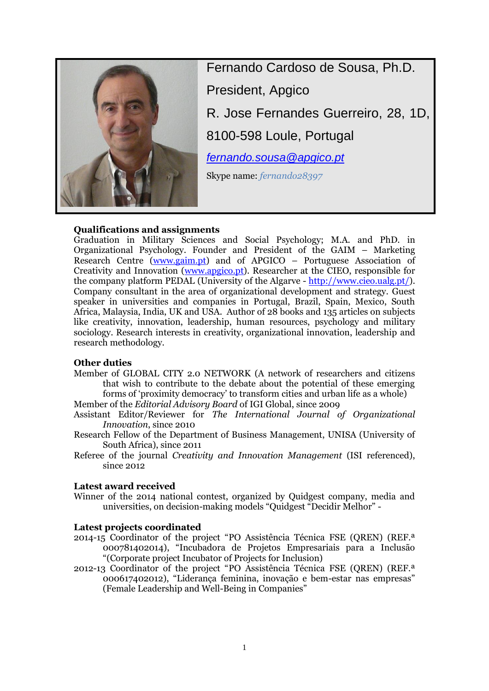

Fernando Cardoso de Sousa, Ph.D. President, Apgico R. Jose Fernandes Guerreiro, 28, 1D, 8100-598 Loule, Portugal *[fernando.sousa@apgico.pt](mailto:fernando.sousa@apgico.pt)* Skype name: *fernando28397*

# **Qualifications and assignments**

Graduation in Military Sciences and Social Psychology; M.A. and PhD. in Organizational Psychology. Founder and President of the GAIM – Marketing Research Centre [\(www.gaim.pt\)](http://www.gaim.pt/) and of APGICO – Portuguese Association of Creativity and Innovation [\(www.apgico.pt\)](http://www.apgico.pt/). Researcher at the CIEO, responsible for the company platform PEDAL (University of the Algarve - [http://www.cieo.ualg.pt/\)](http://www.cieo.ualg.pt/). Company consultant in the area of organizational development and strategy. Guest speaker in universities and companies in Portugal, Brazil, Spain, Mexico, South Africa, Malaysia, India, UK and USA. Author of 28 books and 135 articles on subjects like creativity, innovation, leadership, human resources, psychology and military sociology. Research interests in creativity, organizational innovation, leadership and research methodology.

# **Other duties**

Member of GLOBAL CITY 2.0 NETWORK (A network of researchers and citizens that wish to contribute to the debate about the potential of these emerging forms of 'proximity democracy' to transform cities and urban life as a whole)

Member of the *Editorial Advisory Board* of IGI Global, since 2009

- Assistant Editor/Reviewer for *The International Journal of Organizational Innovation*, since 2010
- Research Fellow of the Department of Business Management, UNISA (University of South Africa), since 2011
- Referee of the journal *Creativity and Innovation Management* (ISI referenced), since 2012

# **Latest award received**

Winner of the 2014 national contest, organized by Quidgest company, media and universities, on decision-making models "Quidgest "Decidir Melhor" -

# **Latest projects coordinated**

- 2014-15 Coordinator of the project "PO Assistência Técnica FSE (QREN) (REF.ª 000781402014), "Incubadora de Projetos Empresariais para a Inclusão "(Corporate project Incubator of Projects for Inclusion)
- 2012-13 Coordinator of the project "PO Assistência Técnica FSE (QREN) (REF.ª 000617402012), "Liderança feminina, inovação e bem-estar nas empresas" (Female Leadership and Well-Being in Companies"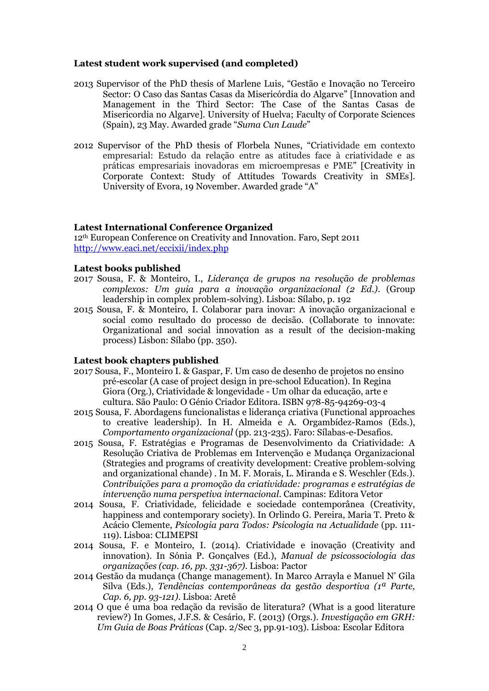### **Latest student work supervised (and completed)**

- 2013 Supervisor of the PhD thesis of Marlene Luis, "Gestão e Inovação no Terceiro Sector: O Caso das Santas Casas da Misericórdia do Algarve" [Innovation and Management in the Third Sector: The Case of the Santas Casas de Misericordia no Algarve]. University of Huelva; Faculty of Corporate Sciences (Spain), 23 May. Awarded grade "*Suma Cun Laude*"
- 2012 Supervisor of the PhD thesis of Florbela Nunes, "Criatividade em contexto empresarial: Estudo da relação entre as atitudes face à criatividade e as práticas empresariais inovadoras em microempresas e PME" [Creativity in Corporate Context: Study of Attitudes Towards Creativity in SMEs]. University of Evora, 19 November. Awarded grade "A"

#### **Latest International Conference Organized**

12th European Conference on Creativity and Innovation. Faro, Sept 2011 <http://www.eaci.net/eccixii/index.php>

### **Latest books published**

- 2017 Sousa, F. & Monteiro, I., *Liderança de grupos na resolução de problemas complexos: Um guia para a inovação organizacional (2 Ed.)*. (Group leadership in complex problem-solving). Lisboa: Sílabo, p. 192
- 2015 Sousa, F. & Monteiro, I. Colaborar para inovar: A inovação organizacional e social como resultado do processo de decisão. (Collaborate to innovate: Organizational and social innovation as a result of the decision-making process) Lisbon: Sílabo (pp. 350).

#### **Latest book chapters published**

- 2017 Sousa, F., Monteiro I. & Gaspar, F. Um caso de desenho de projetos no ensino pré-escolar (A case of project design in pre-school Education). In Regina Giora (Org.), Criatividade & longevidade - Um olhar da educação, arte e cultura. São Paulo: O Génio Criador Editora. ISBN 978-85-94269-03-4
- 2015 Sousa, F. Abordagens funcionalistas e liderança criativa (Functional approaches to creative leadership). In H. Almeida e A. Orgambídez-Ramos (Eds.), *Comportamento organizacional* (pp. 213-235). Faro: Sílabas-e-Desafios.
- 2015 Sousa, F. Estratégias e Programas de Desenvolvimento da Criatividade: A Resolução Criativa de Problemas em Intervenção e Mudança Organizacional (Strategies and programs of creativity development: Creative problem-solving and organizational chande) . In M. F. Morais, L. Miranda e S. Weschler (Eds.). *Contribuições para a promoção da criatividade: programas e estratégias de intervenção numa perspetiva internacional*. Campinas: Editora Vetor
- 2014 Sousa, F. Criatividade, felicidade e sociedade contemporânea (Creativity, happiness and contemporary society). In Orlindo G. Pereira, Maria T. Preto & Acácio Clemente, *Psicologia para Todos: Psicologia na Actualidade* (pp. 111- 119). Lisboa: CLIMEPSI
- 2014 Sousa, F. e Monteiro, I. (2014). Criatividade e inovação (Creativity and innovation). In Sónia P. Gonçalves (Ed.), *Manual de psicossociologia das organizações (cap. 16, pp. 331-367)*. Lisboa: Pactor
- 2014 Gestão da mudança (Change management). In Marco Arrayla e Manuel N' Gila Silva (Eds.), *Tendências contemporâneas da* g*estão desportiva (1ª Parte, Cap. 6, pp. 93-121)*. Lisboa: Aretê
- 2014 O que é uma boa redação da revisão de literatura? (What is a good literature review?) In Gomes, J.F.S. & Cesário, F. (2013) (Orgs.). *Investigação em GRH: Um Guia de Boas Práticas* (Cap. 2/Sec 3, pp.91-103). Lisboa: Escolar Editora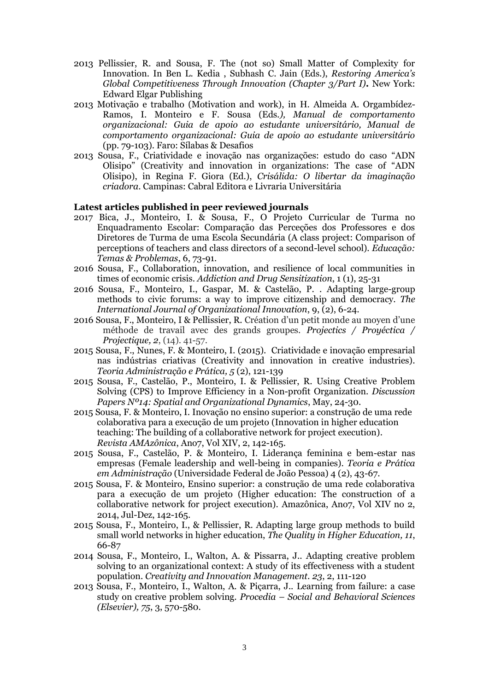- 2013 Pellissier, R. and Sousa, F. The (not so) Small Matter of Complexity for Innovation. In [Ben L. Kedia](https://www.e-elgar.com/search_results.lasso?Author_Name_grp=Ben%20L.%20Kedia) , [Subhash C. Jain](https://www.e-elgar.com/search_results.lasso?Author_Name_grp=Subhash%20C.%20Jain) (Eds.), *Restoring America's Global Competitiveness Through Innovation (Chapter 3/Part I)***.** New York: Edward Elgar Publishing
- 2013 Motivação e trabalho (Motivation and work), in H. Almeida A. Orgambídez-Ramos, I. Monteiro e F. Sousa (Eds*.), Manual de comportamento organizacional: Guia de apoio ao estudante universitário, Manual de comportamento organizacional: Guia de apoio ao estudante universitário*  (pp. 79-103). Faro: Sílabas & Desafios
- 2013 Sousa, F., Criatividade e inovação nas organizações: estudo do caso "ADN Olisipo" (Creativity and innovation in organizations: The case of "ADN Olisipo), in Regina F. Giora (Ed.), *Crisálida: O libertar da imaginação criadora*. Campinas: Cabral Editora e Livraria Universitária

### **Latest articles published in peer reviewed journals**

- 2017 Bica, J., Monteiro, I. & Sousa, F., O Projeto Curricular de Turma no Enquadramento Escolar: Comparação das Perceções dos Professores e dos Diretores de Turma de uma Escola Secundária (A class project: Comparison of perceptions of teachers and class directors of a second-level school). *Educação: Temas & Problemas*, 6, 73-91.
- 2016 Sousa, F., Collaboration, innovation, and resilience of local communities in times of economic crisis. *Addiction and Drug Sensitization*, 1 (1), 25-31
- 2016 Sousa, F., Monteiro, I., Gaspar, M. & Castelão, P. . Adapting large-group methods to civic forums: a way to improve citizenship and democracy. *The International Journal of Organizational Innovation*, 9, (2), 6-24.
- 2016 Sousa, F., Monteiro, I & Pellissier, R. Création d'un petit monde au moyen d'une méthode de travail avec des grands groupes. *Projectics / Proyéctica / Projectique, 2*, (14). 41-57.
- 2015 Sousa, F., Nunes, F. & Monteiro, I. (2015). Criatividade e inovação empresarial nas indústrias criativas (Creativity and innovation in creative industries). *Teoria Administração e Prática, 5* (2), 121-139
- 2015 Sousa, F., Castelão, P., Monteiro, I. & Pellissier, R. Using Creative Problem Solving (CPS) to Improve Efficiency in a Non-profit Organization. *Discussion Papers Nº14: Spatial and Organizational Dynamics*, May, 24-30.
- 2015 Sousa, F. & Monteiro, I. Inovação no ensino superior: a construção de uma rede colaborativa para a execução de um projeto (Innovation in higher education teaching: The building of a collaborative network for project execution). *Revista AMAzônica*, Ano7, Vol XIV, 2, 142-165.
- 2015 Sousa, F., Castelão, P. & Monteiro, I. Liderança feminina e bem-estar nas empresas (Female leadership and well-being in companies). *Teoria e Prática em Administração* (Universidade Federal de João Pessoa) 4 (2), 43-67.
- 2015 Sousa, F. & Monteiro, Ensino superior: a construção de uma rede colaborativa para a execução de um projeto (Higher education: The construction of a collaborative network for project execution). Amazônica, Ano7, Vol XIV no 2, 2014, Jul-Dez, 142-165.
- 2015 Sousa, F., Monteiro, I., & Pellissier, R. Adapting large group methods to build small world networks in higher education, *The Quality in Higher Education, 11*, 66-87
- 2014 Sousa, F., Monteiro, I., Walton, A. & Pissarra, J.. Adapting creative problem solving to an organizational context: A study of its effectiveness with a student population. *Creativity and Innovation Management. 23*, 2, 111-120
- 2013 Sousa, F., Monteiro, I., Walton, A. & Piçarra, J.. Learning from failure: a case study on creative problem solving. *Procedia – Social and Behavioral Sciences (Elsevier), 75*, 3, 570-580.